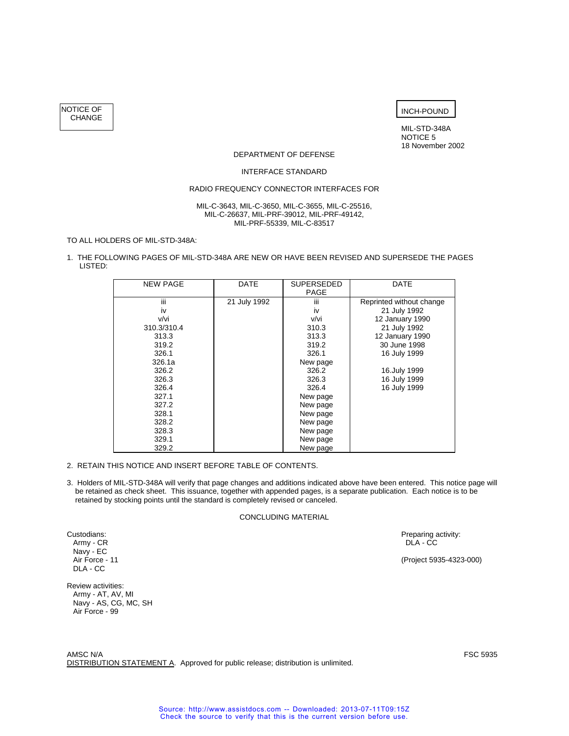NOTICE OF CHANGE



MIL-STD-348A NOTICE 5 18 November 2002

### DEPARTMENT OF DEFENSE

#### INTERFACE STANDARD

### RADIO FREQUENCY CONNECTOR INTERFACES FOR

#### MIL-C-3643, MIL-C-3650, MIL-C-3655, MIL-C-25516, MIL-C-26637, MIL-PRF-39012, MIL-PRF-49142, MIL-PRF-55339, MIL-C-83517

### TO ALL HOLDERS OF MIL-STD-348A:

1. THE FOLLOWING PAGES OF MIL-STD-348A ARE NEW OR HAVE BEEN REVISED AND SUPERSEDE THE PAGES LISTED:

| <b>NEW PAGE</b> | <b>DATE</b>  | <b>SUPERSEDED</b> | DATE                     |
|-----------------|--------------|-------------------|--------------------------|
|                 |              | PAGE              |                          |
| iii             | 21 July 1992 | iii               | Reprinted without change |
| iv              |              | iv                | 21 July 1992             |
| v/vi            |              | v/vi              | 12 January 1990          |
| 310.3/310.4     |              | 310.3             | 21 July 1992             |
| 313.3           |              | 313.3             | 12 January 1990          |
| 319.2           |              | 319.2             | 30 June 1998             |
| 326.1           |              | 326.1             | 16 July 1999             |
| 326.1a          |              | New page          |                          |
| 326.2           |              | 326.2             | 16.July 1999             |
| 326.3           |              | 326.3             | 16 July 1999             |
| 326.4           |              | 326.4             | 16 July 1999             |
| 327.1           |              | New page          |                          |
| 327.2           |              | New page          |                          |
| 328.1           |              | New page          |                          |
| 328.2           |              | New page          |                          |
| 328.3           |              | New page          |                          |
| 329.1           |              | New page          |                          |
| 329.2           |              | New page          |                          |

- 2. RETAIN THIS NOTICE AND INSERT BEFORE TABLE OF CONTENTS.
- 3. Holders of MIL-STD-348A will verify that page changes and additions indicated above have been entered. This notice page will be retained as check sheet. This issuance, together with appended pages, is a separate publication. Each notice is to be retained by stocking points until the standard is completely revised or canceled.

#### CONCLUDING MATERIAL

Custodians: Preparing activity: Army - CR and Custodians: Preparing activity: Army - CR and Custodians: Army - CR and Custodians activity: Army - CR and Custodians activity: Army - CR and Custodians and Custodians and Cust Army - CR DLA - CC DRA - CC DRA - CC DRA - CC DRA - CC DRA - CC DRA - CC DRA - CC DRA - CC DRA - CC DRA - CC DRA - CC DRA - CC DRA - CC DRA - CC DRA - CC DRA - CC DRA - CC DRA - CC DRA - CC DRA - CC DRA - CC DRA - CC DRA -

(Project 5935-4323-000)

Navy - EC<br>Air Force - 11 DLA - CC

Review activities: Army - AT, AV, MI Navy - AS, CG, MC, SH Air Force - 99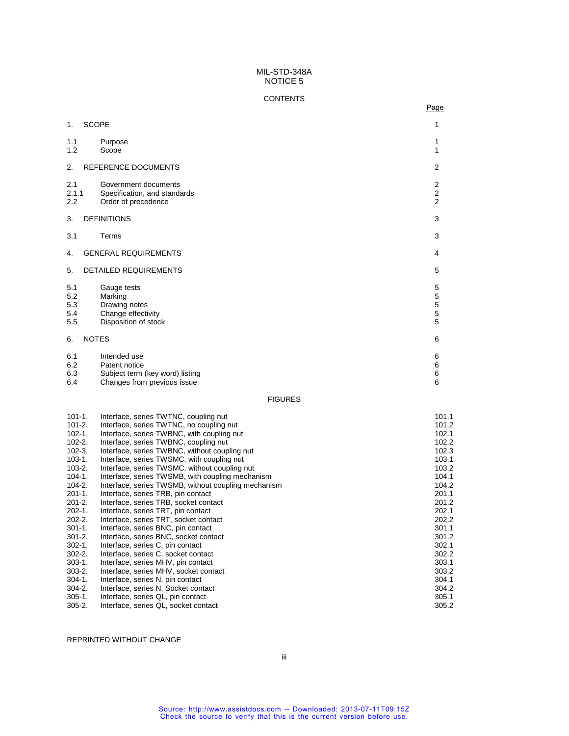# **CONTENTS**

na de la provincia de la provincia de la provincia de la provincia de la provincia de la provincia de la provi

| 1 <sub>1</sub>                  | <b>SCOPE</b>                                                                                    | 1                                          |
|---------------------------------|-------------------------------------------------------------------------------------------------|--------------------------------------------|
| 1.1<br>1.2                      | Purpose<br>Scope                                                                                | 1<br>1                                     |
| 2.                              | REFERENCE DOCUMENTS                                                                             | $\overline{2}$                             |
| 2.1<br>2.1.1<br>2.2             | Government documents<br>Specification, and standards<br>Order of precedence                     | $\begin{array}{c} 2 \\ 2 \\ 2 \end{array}$ |
| 3.                              | <b>DEFINITIONS</b>                                                                              | 3                                          |
| 3.1                             | Terms                                                                                           | 3                                          |
| 4.                              | <b>GENERAL REQUIREMENTS</b>                                                                     | 4                                          |
| 5.                              | <b>DETAILED REQUIREMENTS</b>                                                                    | 5                                          |
| 5.1<br>5.2<br>5.3<br>5.4<br>5.5 | Gauge tests<br>Marking<br>Drawing notes<br>Change effectivity<br>Disposition of stock           | 5<br>5<br>$\mathbf 5$<br>$\frac{5}{5}$     |
| 6.                              | <b>NOTES</b>                                                                                    | 6                                          |
| 6.1<br>6.2<br>6.3<br>6.4        | Intended use<br>Patent notice<br>Subject term (key word) listing<br>Changes from previous issue | 6<br>$\,6$<br>$\,$ 6 $\,$<br>6             |
|                                 |                                                                                                 | <b>FIGURES</b>                             |

| $101 - 1.$  | Interface, series TWTNC, coupling nut               | 101.1 |
|-------------|-----------------------------------------------------|-------|
| $101 - 2.$  | Interface, series TWTNC, no coupling nut            | 101.2 |
| $102 - 1.$  | Interface, series TWBNC, with coupling nut          | 102.1 |
| $102 - 2.$  | Interface, series TWBNC, coupling nut               | 102.2 |
| $102-3.$    | Interface, series TWBNC, without coupling nut       | 102.3 |
| $103 - 1.$  | Interface, series TWSMC, with coupling nut          | 103.1 |
| $103 - 2.$  | Interface, series TWSMC, without coupling nut       | 103.2 |
| 104-1.      | Interface, series TWSMB, with coupling mechanism    | 104.1 |
| $104 - 2.$  | Interface, series TWSMB, without coupling mechanism | 104.2 |
| $201 - 1.$  | Interface, series TRB, pin contact                  | 201.1 |
| $201 - 2.$  | Interface, series TRB, socket contact               | 201.2 |
| $202 - 1.$  | Interface, series TRT, pin contact                  | 202.1 |
| $202 - 2.$  | Interface, series TRT, socket contact               | 202.2 |
| $301 - 1$ . | Interface, series BNC, pin contact                  | 301.1 |
| $301 - 2.$  | Interface, series BNC, socket contact               | 301.2 |
| $302 - 1$ . | Interface, series C, pin contact                    | 302.1 |
| $302 - 2.$  | Interface, series C, socket contact                 | 302.2 |
| $303-1.$    | Interface, series MHV, pin contact                  | 303.1 |
| $303 - 2.$  | Interface, series MHV, socket contact               | 303.2 |
| $304-1.$    | Interface, series N, pin contact                    | 304.1 |
| $304 - 2.$  | Interface, series N, Socket contact                 | 304.2 |
| $305 - 1$ . | Interface, series QL, pin contact                   | 305.1 |
| $305 - 2.$  | Interface, series QL, socket contact                | 305.2 |

# REPRINTED WITHOUT CHANGE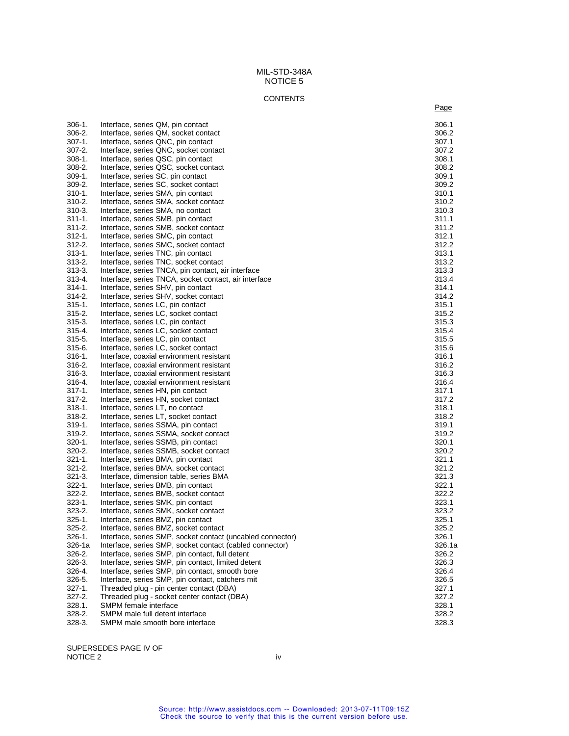#### **CONTENTS**

na ang pag-agamatan na kabupatèn Sulawesi Kabupatèn Sulawesi Kabupatèn Sulawesi Kabupatèn Sulawesi Kabupatèn S

306-1. Interface, series QM, pin contact 306.1 and 306.1 and 306.1 and 306.2 and 306.2 and 306.2 and 306.2 and 306.2 and 306.2 and 306.2 and 306.2 and 306.2 and 306.2 and 306.2 and 306.2 and 306.2 and 306.2 and 306.2 and 3 Interface, series QM, socket contact 307-1. Interface, series QNC, pin contact 307.1 and 307.1 307.2 307.2 and 307.2 307.2 307.2 307-2. Interface, series QNC, socket contact 307.2<br>308-1. Interface, series QSC, pin contact 308.1 308-1. Interface, series QSC, pin contact 308.1 and 308.1 308.2 and 308.2 308.2 and 308.2 308.2 308.2 308-2. Interface, series QSC, socket contact 308.2<br>309-1. Interface. series SC, pin contact 309.1 309-1. Interface, series SC, pin contact 309.1 309.1 309.2 309.2 309.2 309.2 309.2 309.2 309.2 309.2 309.2 309.2 Interface, series SC, socket contact 310-1. Interface, series SMA, pin contact 310.1 310.2 and 310.3 310.3 310.3 310.2 Interface, series SMA, socket contact 310-3. Interface, series SMA, no contact 310.3<br>311-1. Interface. series SMB. pin contact 311.1 311-1. Interface, series SMB, pin contact<br>311-2. Interface, series SMB, socket cont 311-2. Interface, series SMB, socket contact 311.2<br>312-1. Interface, series SMC, pin contact 312.1 Interface, series SMC, pin contact 312-2. Interface, series SMC, socket contact 312.2 313-1. Interface, series TNC, pin contact 313.1 313.1 313-2. Interface, series TNC, socket contact 313.2<br>313-3. Interface. series TNCA. pin contact. air interface 313.3 Interface, series TNCA, pin contact, air interface 313-4. Interface, series TNCA, socket contact, air interface<br>314-1. Interface, series SHV, pin contact 314.1 Interface, series SHV, pin contact 314-2. Interface, series SHV, socket contact 314.2 315-1. Interface, series LC, pin contact 315.1 315.1 315-2. Interface, series LC, socket contact and the series of the series of the series 315.2<br>315-3. Interface, series LC, pin contact and the series of the series 315.3 Interface, series LC, pin contact 315-4. Interface, series LC, socket contact 315.4 and 315.4 and 315.4 and 315.5 and 315.5 and 315.5 and 315.5 and 315.5 and 315.5 and 315.5 and 315.5 and 315.5 and 315.5 and 315.5 and 315.5 and 315.5 and 315.5 and 315.5 an Interface, series LC, pin contact 315-6. Interface, series LC, socket contact 315.6 316-1. Interface, coaxial environment resistant and the state of the state of the state of 316.1<br>316-2. Interface, coaxial environment resistant and the state of the state of 316.2 316-2. Interface, coaxial environment resistant and the state of the state of the state of 316.2<br>316-3. Interface, coaxial environment resistant and the state of the state of 316.3 316-3. Interface, coaxial environment resistant<br>316-4. Interface, coaxial environment resistant 316-4. Interface, coaxial environment resistant 316.4 and 316.4 and 316.4 and 316.4 and 316.4 and 317.1 Interface, series HN, pin contact 317-2. Interface, series HN, socket contact 317.2<br>318-1. Interface. series LT. no contact 318.1 318-1. Interface, series LT, no contact<br>318-2. Interface, series LT, socket con 318-2. Interface, series LT, socket contact and the series of the series of the state 318.2<br>319-1. Interface, series SSMA, pin contact 319.1 Interface, series SSMA, pin contact 319-2. Interface, series SSMA, socket contact 319.2<br>320-1. Interface. series SSMB. pin contact 320.1 Interface, series SSMB, pin contact 320-2. Interface, series SSMB, socket contact 320.2<br>321-1. Interface. series BMA. pin contact 321.1 Interface, series BMA, pin contact 321-2. Interface, series BMA, socket contact 321.2<br>321-3. Interface, dimension table, series BMA 321.3 Interface, dimension table, series BMA 322-1. Interface, series BMB, pin contact 322.1 and 322.1 and 322.1 and 322.1 and 322.2 and 322.2 and 322.2 and 322.2 322-2. Interface, series BMB, socket contact 322.2 323-1. Interface, series SMK, pin contact 323.1 and 323.1 and 323.1 and 323.1 and 323.2 and 323.2 and 323.2 and 323.2 Interface, series SMK, socket contact 325-1. Interface, series BMZ, pin contact 325.1 and 325.1 and 325.1 325.2 and 325.2 325.2 325.2 Interface, series BMZ, socket contact 326-1. Interface, series SMP, socket contact (uncabled connector) 326.1 326-1a Interface, series SMP, socket contact (cabled connector) 326.1a 326-2. Interface, series SMP, pin contact, full detent 326.2<br>326-3. Interface. series SMP. pin contact. limited detent 326.3 Interface, series SMP, pin contact, limited detent 326-4. Interface, series SMP, pin contact, smooth bore 326.4 and 326.4 and 326.4 and 326.5 and 326.5 and 326.5 and 326.5 and 326.5 and 326.5 and 326.5 and 326.5 and 326.5 and 326.5 and 326.5 and 326.5 and 326.5 and 326.5 a Interface, series SMP, pin contact, catchers mit 327-1. Threaded plug - pin center contact (DBA) 327-1. Separation of the state of the state of the state of the state of the state of the state of the state of the state of the state of the state of the state of the state Threaded plug - socket center contact (DBA) 328.1. SMPM female interface 328.1 SMPM female interface 328.1 SMPM female interface 328.1 SMPM male full detent interface 328-3. SMPM male smooth bore interface 328.3

SUPERSEDES PAGE IV OF NOTICE 2 iv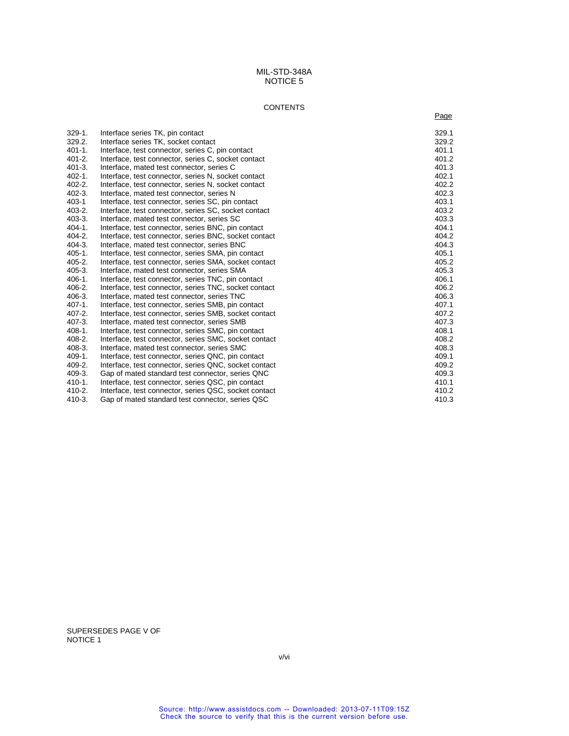# **CONTENTS**

na de la construcción de la construcción de la construcción de la construcción de la construcción de la construcción de la construcción de la construcción de la construcción de la construcción de la construcción de la cons

| $329-1.$    | Interface series TK, pin contact                      | 329.1 |
|-------------|-------------------------------------------------------|-------|
| 329.2.      | Interface series TK, socket contact                   | 329.2 |
| $401 - 1.$  | Interface, test connector, series C, pin contact      | 401.1 |
| $401 - 2.$  | Interface, test connector, series C, socket contact   | 401.2 |
| $401 - 3.$  | Interface, mated test connector, series C             | 401.3 |
| $402 - 1$ . | Interface, test connector, series N, socket contact   | 402.1 |
| $402 - 2.$  | Interface, test connector, series N, socket contact   | 402.2 |
| $402 - 3.$  | Interface, mated test connector, series N             | 402.3 |
| $403 - 1$   | Interface, test connector, series SC, pin contact     | 403.1 |
| $403 - 2.$  | Interface, test connector, series SC, socket contact  | 403.2 |
| $403-3.$    | Interface, mated test connector, series SC            | 403.3 |
| $404 - 1$ . | Interface, test connector, series BNC, pin contact    | 404.1 |
| $404 - 2.$  | Interface, test connector, series BNC, socket contact | 404.2 |
| $404-3.$    | Interface, mated test connector, series BNC           | 404.3 |
| $405 - 1.$  | Interface, test connector, series SMA, pin contact    | 405.1 |
| $405 - 2.$  | Interface, test connector, series SMA, socket contact | 405.2 |
| $405 - 3.$  | Interface, mated test connector, series SMA           | 405.3 |
| $406-1.$    | Interface, test connector, series TNC, pin contact    | 406.1 |
| $406 - 2.$  | Interface, test connector, series TNC, socket contact | 406.2 |
| $406-3.$    | Interface, mated test connector, series TNC           | 406.3 |
| 407-1.      | Interface, test connector, series SMB, pin contact    | 407.1 |
| 407-2.      | Interface, test connector, series SMB, socket contact | 407.2 |
| $407-3.$    | Interface, mated test connector, series SMB           | 407.3 |
| $408-1.$    | Interface, test connector, series SMC, pin contact    | 408.1 |
| $408 - 2.$  | Interface, test connector, series SMC, socket contact | 408.2 |
| $408-3.$    | Interface, mated test connector, series SMC           | 408.3 |
| $409-1.$    | Interface, test connector, series QNC, pin contact    | 409.1 |
| $409-2.$    | Interface, test connector, series QNC, socket contact | 409.2 |
| $409-3.$    | Gap of mated standard test connector, series QNC      | 409.3 |
| $410-1.$    | Interface, test connector, series QSC, pin contact    | 410.1 |
| $410 - 2.$  | Interface, test connector, series QSC, socket contact | 410.2 |
| 410-3.      | Gap of mated standard test connector, series QSC      | 410.3 |
|             |                                                       |       |

SUPERSEDES PAGE V OF NOTICE 1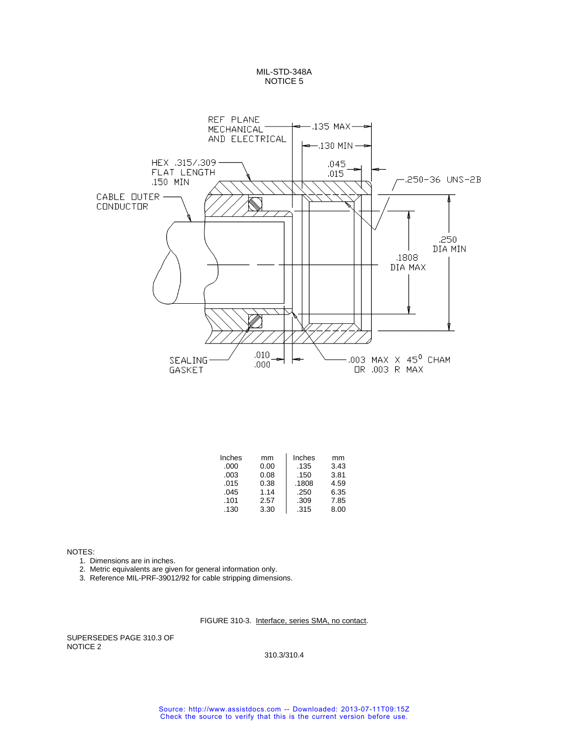

| Inches | mm   | Inches | mm   |
|--------|------|--------|------|
| .000   | 0.00 | .135   | 3.43 |
| .003   | 0.08 | .150   | 3.81 |
| .015   | 0.38 | .1808  | 4.59 |
| .045   | 1.14 | .250   | 6.35 |
| .101   | 2.57 | .309   | 7.85 |
| .130   | 3.30 | .315   | 8.00 |

NOTES:

- 1. Dimensions are in inches.
- 2. Metric equivalents are given for general information only.
- 3. Reference MIL-PRF-39012/92 for cable stripping dimensions.

### FIGURE 310-3. Interface, series SMA, no contact.

SUPERSEDES PAGE 310.3 OF NOTICE 2

310.3/310.4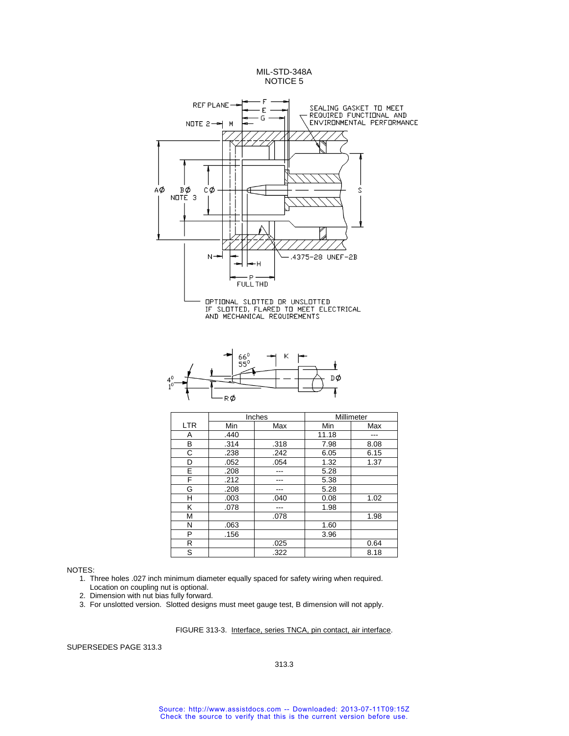

- 1. Three holes .027 inch minimum diameter equally spaced for safety wiring when required. Location on coupling nut is optional.
- 2. Dimension with nut bias fully forward.
- 3. For unslotted version. Slotted designs must meet gauge test, B dimension will not apply.

#### FIGURE 313-3. Interface, series TNCA, pin contact, air interface.

SUPERSEDES PAGE 313.3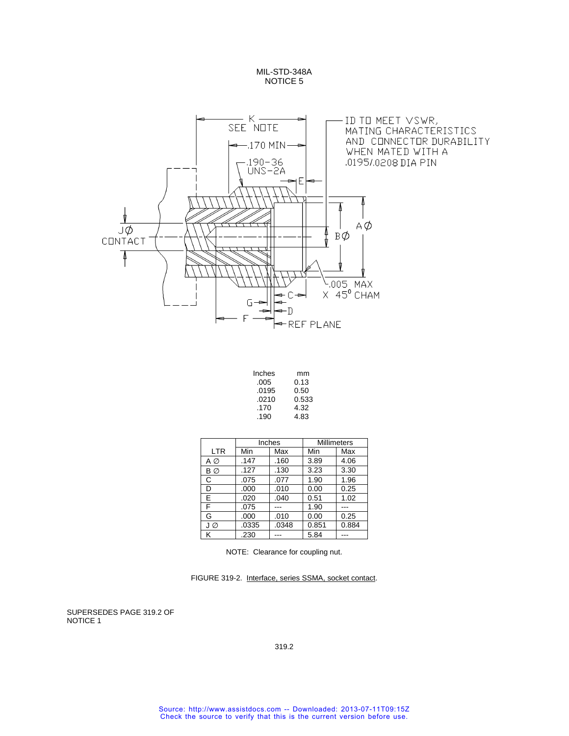

| Inches | mm    |
|--------|-------|
| .005   | 0.13  |
| .0195  | 0.50  |
| .0210  | 0.533 |
| .170   | 4.32  |
| .190   | 4.83  |
|        |       |

|            |       | Inches | <b>Millimeters</b> |       |
|------------|-------|--------|--------------------|-------|
| <b>LTR</b> | Min   | Max    | Min                | Max   |
| ΑØ         | .147  | .160   | 3.89               | 4.06  |
| BØ         | .127  | .130   | 3.23               | 3.30  |
| C          | .075  | .077   | 1.90               | 1.96  |
| D          | .000  | .010   | 0.00               | 0.25  |
| E.         | .020  | .040   | 0.51               | 1.02  |
| F          | .075  |        | 1.90               |       |
| G          | .000  | .010   | 0.00               | 0.25  |
| JØ         | .0335 | .0348  | 0.851              | 0.884 |
| κ          | .230  |        | 5.84               |       |

NOTE: Clearance for coupling nut.

FIGURE 319-2. Interface, series SSMA, socket contact.

SUPERSEDES PAGE 319.2 OF NOTICE 1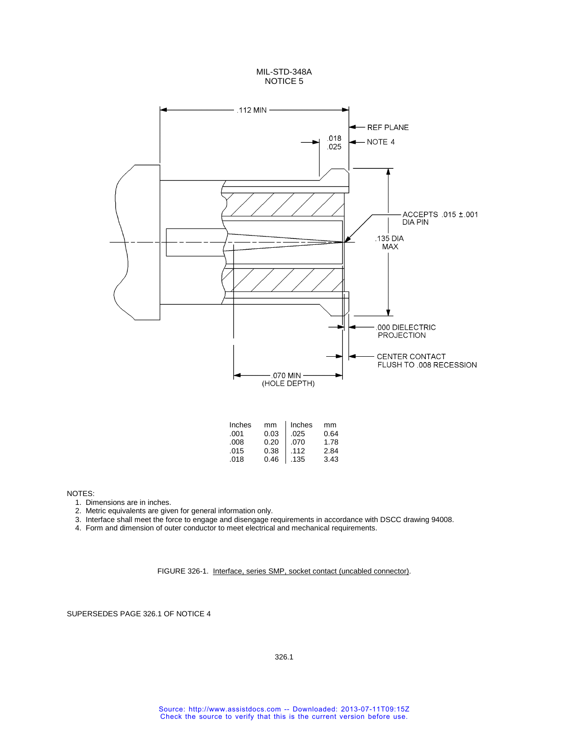



1. Dimensions are in inches.

2. Metric equivalents are given for general information only.

- 3. Interface shall meet the force to engage and disengage requirements in accordance with DSCC drawing 94008.
- 4. Form and dimension of outer conductor to meet electrical and mechanical requirements.

FIGURE 326-1. Interface, series SMP, socket contact (uncabled connector).

SUPERSEDES PAGE 326.1 OF NOTICE 4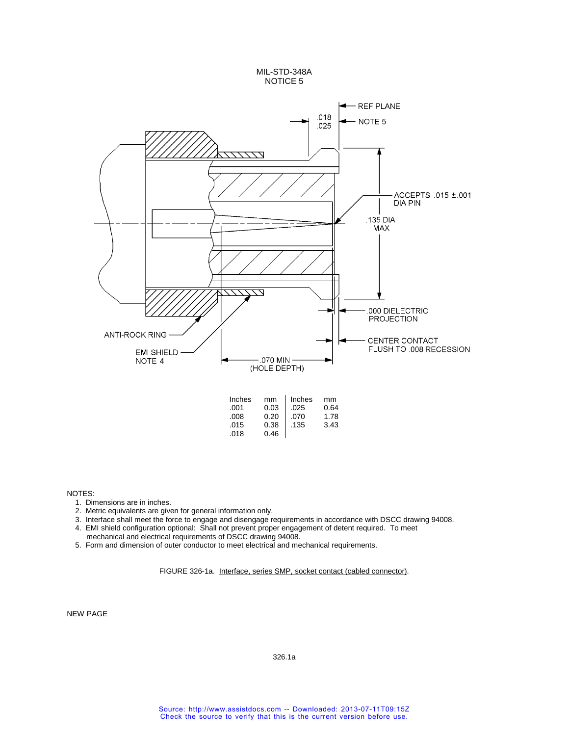

- 1. Dimensions are in inches.
- 2. Metric equivalents are given for general information only.
- 3. Interface shall meet the force to engage and disengage requirements in accordance with DSCC drawing 94008. 4. EMI shield configuration optional: Shall not prevent proper engagement of detent required. To meet
- mechanical and electrical requirements of DSCC drawing 94008.
- 5. Form and dimension of outer conductor to meet electrical and mechanical requirements.

FIGURE 326-1a. Interface, series SMP, socket contact (cabled connector).

NEW PAGE

326.1a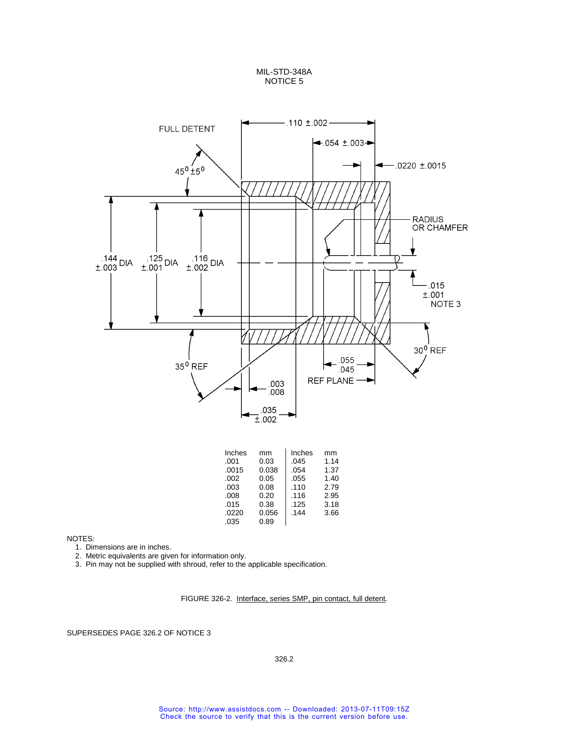

| Inches | mm    | Inches | mm   |
|--------|-------|--------|------|
| .001   | 0.03  | .045   | 1.14 |
| .0015  | 0.038 | .054   | 1.37 |
| .002   | 0.05  | .055   | 1.40 |
| .003   | 0.08  | .110   | 2.79 |
| .008   | 0.20  | .116   | 2.95 |
| .015   | 0.38  | .125   | 3.18 |
| .0220  | 0.056 | .144   | 3.66 |
| .035   | 0.89  |        |      |

NOTES:

- 1. Dimensions are in inches.
- 2. Metric equivalents are given for information only.
- 3. Pin may not be supplied with shroud, refer to the applicable specification.

FIGURE 326-2. Interface, series SMP, pin contact, full detent.

SUPERSEDES PAGE 326.2 OF NOTICE 3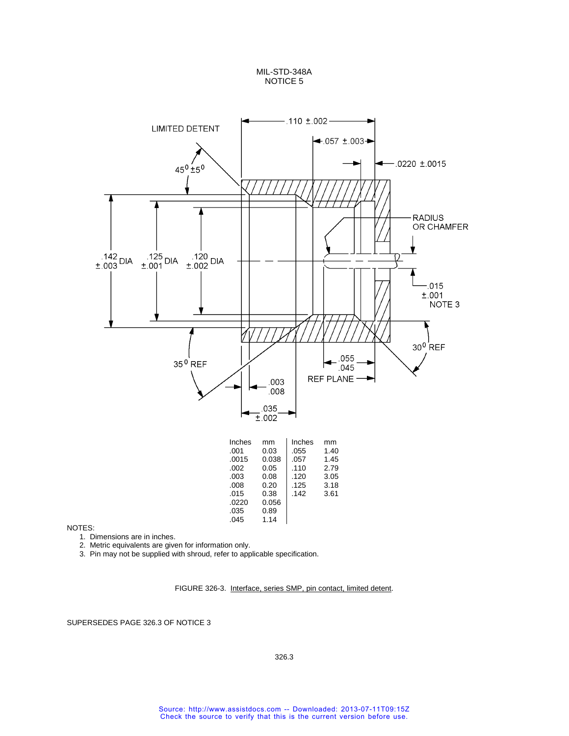

NOTES:

1. Dimensions are in inches.

2. Metric equivalents are given for information only.

3. Pin may not be supplied with shroud, refer to applicable specification.

FIGURE 326-3. Interface, series SMP, pin contact, limited detent.

SUPERSEDES PAGE 326.3 OF NOTICE 3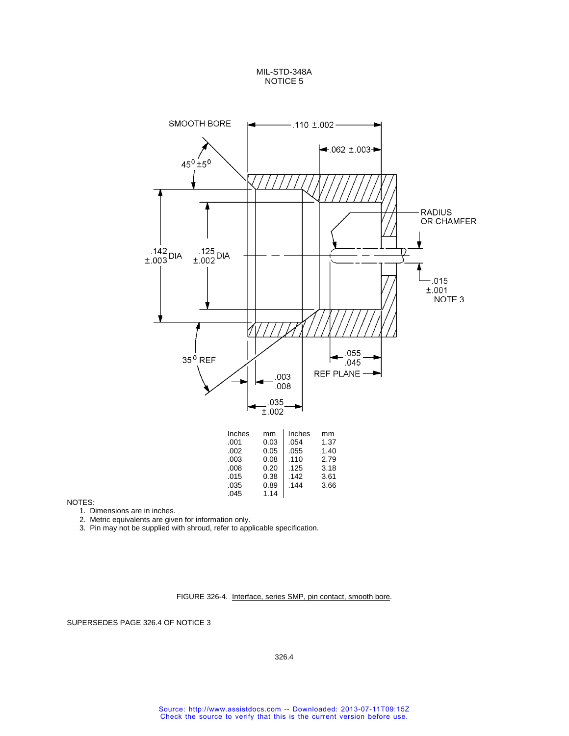

NOTES:

1. Dimensions are in inches.

2. Metric equivalents are given for information only.

3. Pin may not be supplied with shroud, refer to applicable specification.

FIGURE 326-4. Interface, series SMP, pin contact, smooth bore.

SUPERSEDES PAGE 326.4 OF NOTICE 3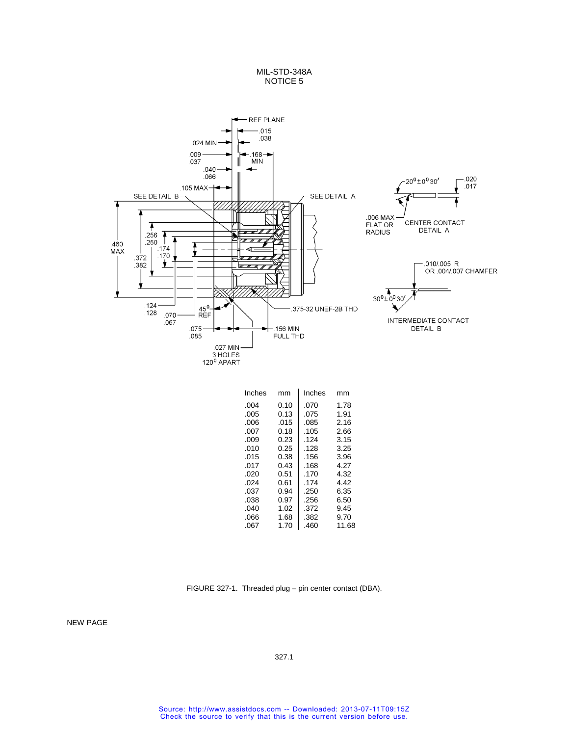

| Inches | mm   | Inches | mm    |
|--------|------|--------|-------|
| .004   | 0.10 | .070   | 1.78  |
| .005   | 0.13 | .075   | 1.91  |
| .006   | .015 | .085   | 2.16  |
| .007   | 0.18 | .105   | 2.66  |
| .009   | 0.23 | .124   | 3.15  |
| .010   | 0.25 | .128   | 3.25  |
| .015   | 0.38 | .156   | 3.96  |
| .017   | 0.43 | .168   | 4.27  |
| .020   | 0.51 | .170   | 4.32  |
| .024   | 0.61 | .174   | 4.42  |
| .037   | 0.94 | .250   | 6.35  |
| .038   | 0.97 | .256   | 6.50  |
| .040   | 1.02 | .372   | 9.45  |
| .066   | 1.68 | .382   | 9.70  |
| .067   | 1.70 | .460   | 11.68 |

FIGURE 327-1. Threaded plug - pin center contact (DBA).

NEW PAGE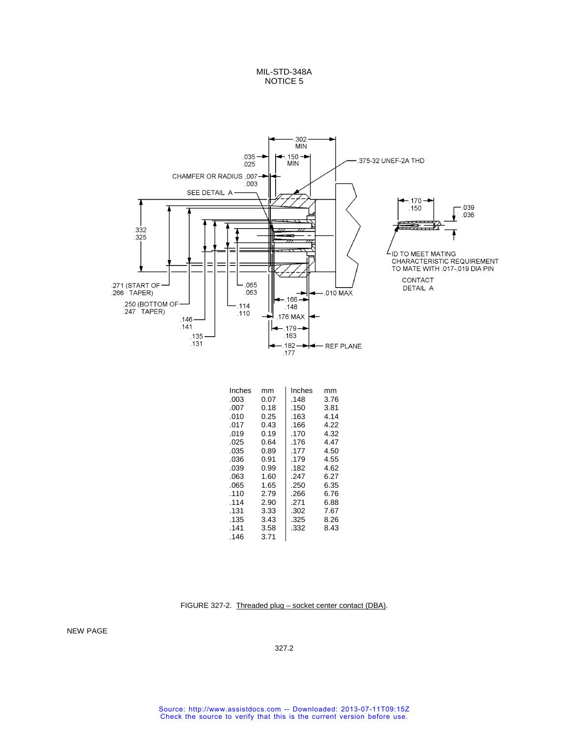

| Inches | mm   | Inches | mm   |
|--------|------|--------|------|
| .003   | 0.07 | .148   | 3.76 |
| .007   | 0.18 | .150   | 3.81 |
| .010   | 0.25 | .163   | 4.14 |
| .017   | 0.43 | .166   | 4.22 |
| .019   | 0.19 | .170   | 4.32 |
| .025   | 0.64 | .176   | 4.47 |
| .035   | 0.89 | .177   | 4.50 |
| .036   | 0.91 | .179   | 4.55 |
| .039   | 0.99 | .182   | 4.62 |
| .063   | 1.60 | .247   | 6.27 |
| .065   | 1.65 | .250   | 6.35 |
| .110   | 2.79 | .266   | 6.76 |
| .114   | 2.90 | .271   | 6.88 |
| .131   | 3.33 | .302   | 7.67 |
| .135   | 3.43 | .325   | 8.26 |
| .141   | 3.58 | .332   | 8.43 |
| .146   | 3.71 |        |      |

FIGURE 327-2. Threaded plug – socket center contact (DBA).

NEW PAGE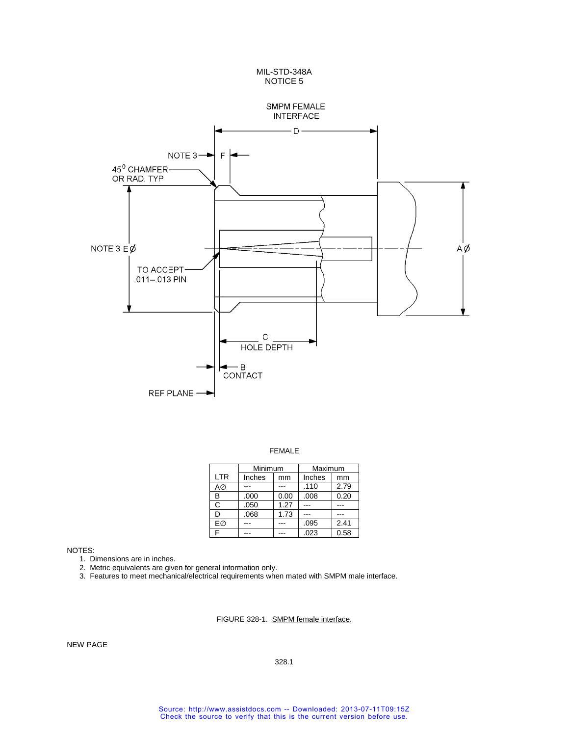

FEMALE

|            | Minimum |      | Maximum |      |
|------------|---------|------|---------|------|
| <b>LTR</b> | Inches  | mm   | Inches  | mm   |
| A∅         |         |      | .110    | 2.79 |
| В          | .000    | 0.00 | .008    | 0.20 |
| C          | .050    | 1.27 |         |      |
| D          | .068    | 1.73 |         |      |
| FØ         |         |      | .095    | 2.41 |
| F          |         |      | .023    | 0.58 |

1. Dimensions are in inches.

2. Metric equivalents are given for general information only.

3. Features to meet mechanical/electrical requirements when mated with SMPM male interface.

FIGURE 328-1. SMPM female interface.

NEW PAGE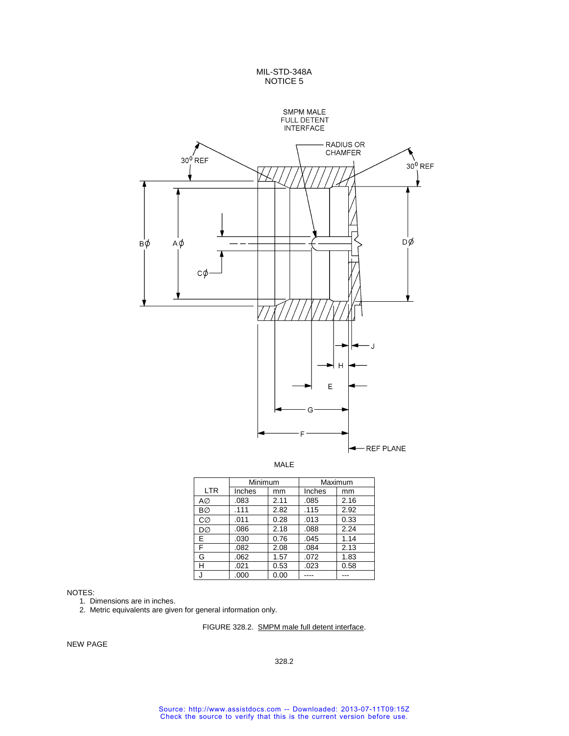



MALE

|            | Minimum |      | Maximum |      |
|------------|---------|------|---------|------|
| <b>LTR</b> | Inches  | mm   | Inches  | mm   |
| AØ         | .083    | 2.11 | .085    | 2.16 |
| <b>BØ</b>  | .111    | 2.82 | .115    | 2.92 |
| CØ         | .011    | 0.28 | .013    | 0.33 |
| DØ         | .086    | 2.18 | .088    | 2.24 |
| E.         | .030    | 0.76 | .045    | 1.14 |
| F          | .082    | 2.08 | .084    | 2.13 |
| G          | .062    | 1.57 | .072    | 1.83 |
| н          | .021    | 0.53 | .023    | 0.58 |
|            | .000    | 0.00 |         |      |

NOTES:

1. Dimensions are in inches.

2. Metric equivalents are given for general information only.

# FIGURE 328.2. SMPM male full detent interface.

NEW PAGE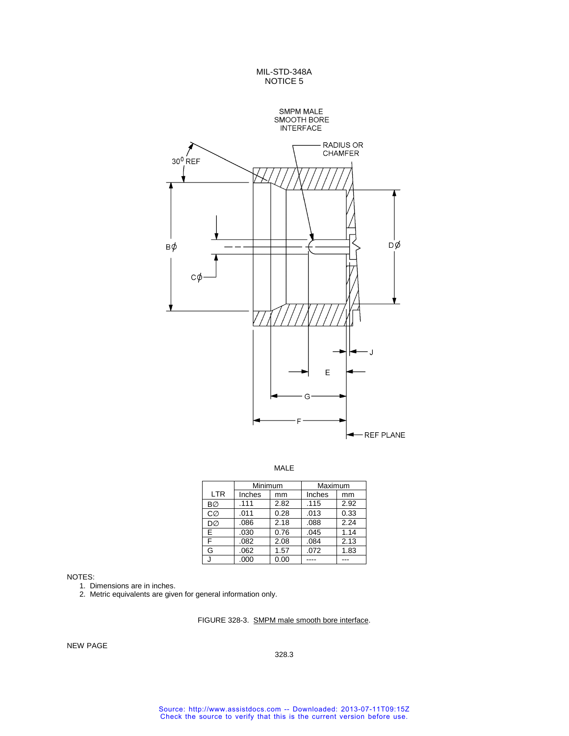

MALE

|            | Minimum |      | Maximum |      |
|------------|---------|------|---------|------|
| <b>LTR</b> | Inches  | mm   | Inches  | mm   |
| <b>BØ</b>  | .111    | 2.82 | .115    | 2.92 |
| CØ         | .011    | 0.28 | .013    | 0.33 |
| DØ         | .086    | 2.18 | .088    | 2.24 |
| Е          | .030    | 0.76 | .045    | 1.14 |
| F          | .082    | 2.08 | .084    | 2.13 |
| G          | .062    | 1.57 | .072    | 1.83 |
|            | .000    | 0.00 |         | .    |

NOTES:

1. Dimensions are in inches.

2. Metric equivalents are given for general information only.

FIGURE 328-3. SMPM male smooth bore interface.

NEW PAGE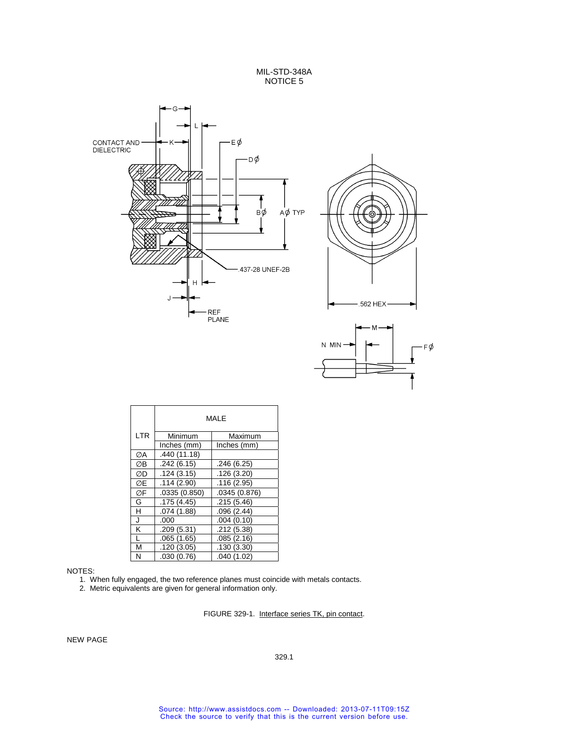



|     | MAI F        |               |  |
|-----|--------------|---------------|--|
| LTR | Minimum      | Maximum       |  |
|     | Inches (mm)  | Inches (mm)   |  |
| ØA  | .440 (11.18) |               |  |
| ØΒ  | .242(6.15)   | .246(6.25)    |  |
| ØD  | .124(3.15)   | .126(3.20)    |  |
| ØΕ  | .114(2.90)   | .116(2.95)    |  |
| ØF  | .0335(0.850) | .0345 (0.876) |  |
| G   | .175(4.45)   | .215(5.46)    |  |
| н   | .074 (1.88)  | .096(2.44)    |  |
| J   | .000         | .004(0.10)    |  |
| Κ   | .209(5.31)   | .212(5.38)    |  |
| L   | .065(1.65)   | .085(2.16)    |  |
| M   | .120(3.05)   | .130(3.30)    |  |
| N   | .030(0.76)   | .040(1.02)    |  |

#### NOTES:

1. When fully engaged, the two reference planes must coincide with metals contacts.

2. Metric equivalents are given for general information only.

# FIGURE 329-1. Interface series TK, pin contact.

NEW PAGE